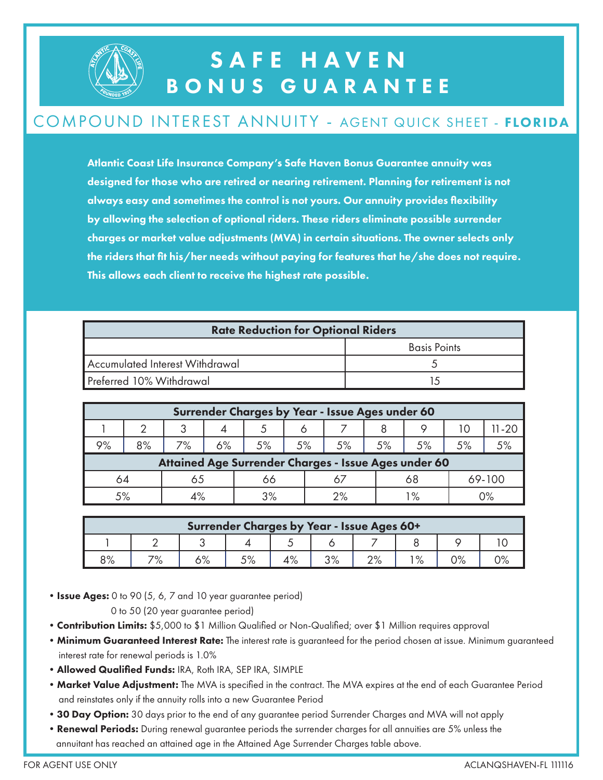

### SAFE HAVEN BONUS GUARANTEE

#### COMPOUND INTEREST ANNUITY - AGENT QUICK SHEET - FLORIDA

Atlantic Coast Life Insurance Company's Safe Haven Bonus Guarantee annuity was designed for those who are retired or nearing retirement. Planning for retirement is not always easy and sometimes the control is not yours. Our annuity provides flexibility by allowing the selection of optional riders. These riders eliminate possible surrender charges or market value adjustments (MVA) in certain situations. The owner selects only the riders that fit his/her needs without paying for features that he/she does not require. This allows each client to receive the highest rate possible.

| <b>Rate Reduction for Optional Riders</b> |                     |  |  |  |  |  |
|-------------------------------------------|---------------------|--|--|--|--|--|
|                                           | <b>Basis Points</b> |  |  |  |  |  |
| Accumulated Interest Withdrawal           |                     |  |  |  |  |  |
| Preferred 10% Withdrawal                  |                     |  |  |  |  |  |

| Surrender Charges by Year - Issue Ages under 60      |    |    |    |    |    |    |    |    |    |        |  |
|------------------------------------------------------|----|----|----|----|----|----|----|----|----|--------|--|
|                                                      |    | っ  |    |    |    |    |    |    | 10 | 1-20   |  |
| 9%                                                   | 8% | 7% | 6% | 5% | 5% | 5% | 5% | 5% | 5% | 5%     |  |
| Attained Age Surrender Charges - Issue Ages under 60 |    |    |    |    |    |    |    |    |    |        |  |
| 64                                                   |    | co |    | OO |    |    |    | 68 |    | 69-100 |  |
| 5%                                                   |    |    |    | 3% |    | 2% |    | 1% |    | 0%     |  |

| Surrender Charges by Year - Issue Ages 60+ |           |              |    |     |          |                  |         |             |  |  |  |
|--------------------------------------------|-----------|--------------|----|-----|----------|------------------|---------|-------------|--|--|--|
|                                            |           |              |    |     |          |                  |         |             |  |  |  |
| 8%                                         | 70/<br>0/ | 1 O/<br>D 70 | 5% | 10/ | $\Omega$ | $\Omega$<br>Z /o | $\circ$ | ∩∘⁄<br>J /o |  |  |  |

• Issue Ages: 0 to 90 (5, 6, 7 and 10 year guarantee period)

0 to 50 (20 year guarantee period)

- Contribution Limits: \$5,000 to \$1 Million Qualified or Non-Qualified; over \$1 Million requires approval
- Minimum Guaranteed Interest Rate: The interest rate is guaranteed for the period chosen at issue. Minimum guaranteed interest rate for renewal periods is 1.0%
- •Allowed Qualified Funds: IRA, Roth IRA, SEP IRA, SIMPLE
- Market Value Adjustment: The MVA is specified in the contract. The MVA expires at the end of each Guarantee Period and reinstates only if the annuity rolls into a new Guarantee Period
- 30 Day Option: 30 days prior to the end of any guarantee period Surrender Charges and MVA will not apply
- Renewal Periods: During renewal guarantee periods the surrender charges for all annuities are 5% unless the annuitant has reached an attained age in the Attained Age Surrender Charges table above.